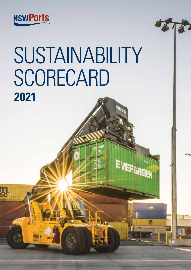

 $\frac{11}{36}$ 

# SUSTAINABILITY **SCORECARD 2021**

**JERGRI** 

嬰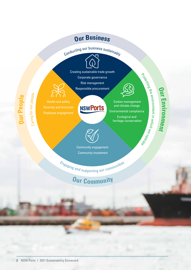### **Ou<sup>r</sup> Busines<sup>s</sup>**

Conducting our business sustainably



Creating sustainable trade growth Corporate governance Risk management Responsible procurement

**NSWPorts** 



Carbon management and climate change Environmental compliance Ecological and heritage conservation

### **Our E n vir o n ment**

Protecting

the

environment in

wh ci h we

e<sub>vera</sub>  $\delta$ 

Employee engagement

**O u r** <u>p</u> **e o p <sup>l</sup><sup>e</sup>**

Caring for o

ur p e ople



Community engagement Community investment

<sup>E</sup>ngagin<sup>g</sup> <sup>a</sup>n<sup>d</sup> <sup>s</sup>upportin<sup>g</sup> <sup>o</sup>u<sup>r</sup> <sup>c</sup>ommunitie<sup>s</sup>

## **O<sup>u</sup><sup>r</sup> C<sup>o</sup>mmunit<sup>y</sup>**

**2** NSW Ports I 2021 Sustainability Scorecard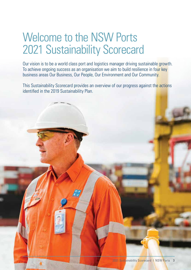## Welcome to the NSW Ports 2021 Sustainability Scorecard

Our vision is to be a world class port and logistics manager driving sustainable growth. To achieve ongoing success as an organisation we aim to build resilience in four key business areas Our Business, Our People, Our Environment and Our Community.

This Sustainability Scorecard provides an overview of our progress against the actions identified in the 2019 Sustainability Plan.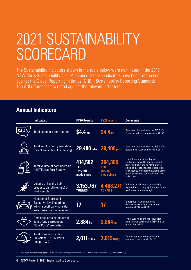## 2021 SUSTAINABILITY **SCORECARD**

The Sustainability Indicators shown in the table below were nominated in the 2019 NSW Ports Sustainability Plan. A number of these indicators have been referenced against the Global Reporting Initiative (GRI) – Sustainability Reporting Standards – The GRI references are noted against the relevant indicators.

### **Annual Indicators**

| <b>Indicators</b>                                                                                                   | <b>FY20 Results</b>                             | <b>FY21 results</b>                             | <b>Comments</b>                                                                                                                                                                                                                                            |
|---------------------------------------------------------------------------------------------------------------------|-------------------------------------------------|-------------------------------------------------|------------------------------------------------------------------------------------------------------------------------------------------------------------------------------------------------------------------------------------------------------------|
| Total economic contribution                                                                                         | \$4.4 <sub>bn</sub>                             | \$4.4 <sub>bn</sub>                             | Data was obtained from the BIS Oxford<br>Economics Study completed in 2018. <sup>1</sup>                                                                                                                                                                   |
| Total employment generation<br>(direct and indirect modelling)                                                      | 29,400 jobs 29,400 jobs                         |                                                 | Data was obtained from the BIS Oxford<br>Economics Study completed in 2018.                                                                                                                                                                                |
| Total volume of containers on<br>rail (TEU) at Port Botany                                                          | 414,582<br><b>TEU</b><br>18% rail<br>mode share | 394,365<br><b>TEU</b><br>15% rail<br>mode share | The volume and percentage of<br>containers moved by rail decreased<br>from FY20. This can be attributed to<br>shipping disruptions, industrial action,<br>rail capacity enhancement works at the<br>port and a shift of some volumes from<br>rail to road. |
| Volume of key dry bulk<br>products on rail (tonnes) at<br><b>Port Kembla</b>                                        | 3,153,767<br><b>TONNES</b>                      | 4,468,271<br><b>TONNES</b>                      | Volumes on rail were considerably<br>higher due to strong agricultural sector<br>performance post-drought.                                                                                                                                                 |
| Number of Board and<br><b>Executive level meetings</b><br>which specifically consider<br>enterprise risk management | 17                                              | 17                                              | Enterprise risk management<br>discussions remained consistent<br>between FY20 and FY21.                                                                                                                                                                    |
| <b>Combined area of industrial</b><br>zoned land surrounding<br><b>NSW Ports' properties</b>                        | 2,884 ha                                        | 2.884 <sub>ha</sub>                             | There was no change to industrial<br>land zonings surrounding NSW Ports'<br>properties in FY21.                                                                                                                                                            |
| <b>Total Greenhouse Gas</b><br><b>Emissions - NSW Ports</b><br>(scope 1 & 2)                                        | $2,011$ tco.e <sup>*</sup> $2,019$ tco.e        |                                                 | <b>Total Greenhouse Gas emissions</b><br>remained consistent in FY21. <sup>2</sup>                                                                                                                                                                         |

This figure was incorrectly reported in our 2020 Sustainability Scorecard as 1,969 tCO2e which related to our Scope 2 emissions only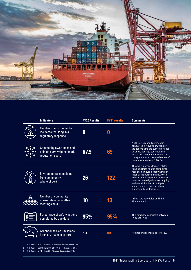

|                                                               | <b>Indicators</b>                                                                | <b>FY20 Results</b> | <b>FY21 results</b> | <b>Comments</b>                                                                                                                                                                                                                                                                                                               |
|---------------------------------------------------------------|----------------------------------------------------------------------------------|---------------------|---------------------|-------------------------------------------------------------------------------------------------------------------------------------------------------------------------------------------------------------------------------------------------------------------------------------------------------------------------------|
|                                                               | Number of environmental<br>incidents resulting in a<br>regulatory response       | 0                   | 0                   |                                                                                                                                                                                                                                                                                                                               |
|                                                               | <b>Community awareness and</b><br>opinion survey (benchmark<br>reputation score) | 67.9                | 69                  | NSW Ports second survey was<br>conducted in November 2021. For<br>the second time the survey returned<br>an above average score with an<br>increase in perceptions around the<br>transparency and responsiveness of<br>communication from NSW Ports.                                                                          |
|                                                               | <b>Environmental complaints</b><br>from community $-$<br>whole of port           | 26                  | 122                 | The sharp increase largely relates<br>to noise. Noise related complaints<br>rose during Covid lockdowns when<br>much of the port community were<br>at home and background noise was<br>reduced. Investigations are ongoing<br>and some initiatives to mitigate<br>sound related issues have been<br>successfully implemented. |
|                                                               | Number of community<br>consultative committee<br>meetings held                   | 10                  | 13                  | In FY21 we scheduled and held<br>13 meetings. <sup>3</sup>                                                                                                                                                                                                                                                                    |
|                                                               | Percentage of safety actions<br>completed by due date                            | 95%                 | 95%                 | This remained consistent between<br>FY20 and FY21.                                                                                                                                                                                                                                                                            |
|                                                               | <b>Greenhouse Gas Emissions</b><br>intensity - whole of port                     | n/a                 | n/a                 | First report is scheduled for FY22.                                                                                                                                                                                                                                                                                           |
| GRI Disclosure 201-1 from GRI 201: Economic Performance 2016. |                                                                                  |                     |                     |                                                                                                                                                                                                                                                                                                                               |

2. GRI Disclosures 305-1 and 305-2 from GRI 305: Emissions 2016.

3. GRI Disclosure 413-1 from GRI 413: Local Communities 2016.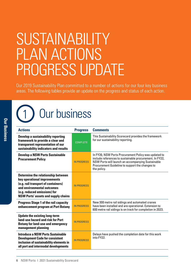## SUSTAINABILITY PLAN ACTIONS PROGRESS UPDATE

Our 2019 Sustainability Plan committed to a number of actions for our four key business areas. The following tables provide an update on the progress and status of each action.

## Our business

| <b>Actions</b>                                                                                                                                                                                                        | <b>Progress</b>    | <b>Comments</b>                                                                                                                                                                                                                        |
|-----------------------------------------------------------------------------------------------------------------------------------------------------------------------------------------------------------------------|--------------------|----------------------------------------------------------------------------------------------------------------------------------------------------------------------------------------------------------------------------------------|
| Develop a sustainability reporting<br>framework to provide a clear and<br>transparent representation of our<br>sustainability indicators and results                                                                  | <b>COMPLETE</b>    | This Sustainability Scorecard provides the framework<br>for our sustainability reporting.                                                                                                                                              |
| <b>Develop a NSW Ports Sustainable</b><br><b>Procurement Policy</b>                                                                                                                                                   | <b>IN PROGRESS</b> | In FY20, NSW Ports Procurement Policy was updated to<br>include references to sustainable procurement. In FY22,<br>NSW Ports will launch an accompanying Sustainable<br>Procurement Guideline to support the changes to<br>the policy. |
| Determine the relationship between<br>key operational improvements<br>(e.g. rail transport of containers)<br>and environmental outcomes<br>(e.g. reduced emissions) for<br><b>NSW Ports' assets and supply chains</b> | <b>IN PROGRESS</b> |                                                                                                                                                                                                                                        |
| <b>Progress Stage 1 of the rail capacity</b><br>enhancement program at Port Botany                                                                                                                                    | <b>IN PROGRESS</b> | New 300 metre rail sidings and automated cranes<br>have been installed and are operational. Extension to<br>600 metre rail sidings is on track for completion in 2023.                                                                 |
| <b>Update the existing long-term</b><br>land-use hazard and risk for Port<br><b>Botany for land-use and emergency</b><br>management planning                                                                          | <b>IN PROGRESS</b> |                                                                                                                                                                                                                                        |
| <b>Introduce a NSW Ports Sustainable</b><br><b>Development Code for consistent</b><br>inclusion of sustainability elements in<br>all port and intermodal developments                                                 | <b>IN PROGRESS</b> | Delays have pushed the completion date for this work<br>into FY22.                                                                                                                                                                     |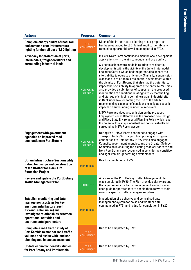| <b>Actions</b>                                                                                                                                                                                                                 | <b>Progress</b>             | <b>Comments</b>                                                                                                                                                                                                                                                                                                                                                                                                                                                                                                                                                                                                                                                                                                                                                                                                                                                                                                                                                                                                                                                                                                                                                                           |
|--------------------------------------------------------------------------------------------------------------------------------------------------------------------------------------------------------------------------------|-----------------------------|-------------------------------------------------------------------------------------------------------------------------------------------------------------------------------------------------------------------------------------------------------------------------------------------------------------------------------------------------------------------------------------------------------------------------------------------------------------------------------------------------------------------------------------------------------------------------------------------------------------------------------------------------------------------------------------------------------------------------------------------------------------------------------------------------------------------------------------------------------------------------------------------------------------------------------------------------------------------------------------------------------------------------------------------------------------------------------------------------------------------------------------------------------------------------------------------|
| <b>Complete energy audits of road, rail</b><br>and common user infrastructure<br>lighting for the roll out of LED lighting                                                                                                     | TO BE<br><b>COMMENCED</b>   | Much of the infrastructure lighting at our properties<br>has been upgraded to LED. A final audit to identify any<br>remaining opportunities will be completed in FY22.                                                                                                                                                                                                                                                                                                                                                                                                                                                                                                                                                                                                                                                                                                                                                                                                                                                                                                                                                                                                                    |
| Advocacy for protection of ports,<br>intermodals, freight corridors and<br>surrounding industrial lands                                                                                                                        | COMPLETE/<br><b>ONGOING</b> | In FY21, NSW Ports continued to monitor local development<br>applications with the aim to reduce land use conflict.<br>Six submissions were made in relation to residential<br>developments within the vicinity of the Enfield Intermodal<br>Logistics Centre which had the potential to impact the<br>site's ability to operate efficiently. Similarly, a submission<br>was made in relation to a residential development within<br>the vicinity of Port Botany that also had the potential to<br>impact the site's ability to operate efficiently. NSW Ports<br>also provided a submission of support on the proposed<br>modification of conditions relating to truck marshalling<br>and storage of shipping containers at an industrial site<br>in Banksmeadow, endorsing the use of the site but<br>recommending a number of conditions to mitigate acoustic<br>impacts on surrounding residential receivers.<br>NSW Ports provided a submission on the proposed<br>Employment Zones Reforms and the proposed new Design<br>and Place State Environmental Planning Policy which have<br>the potential to reshape industrial and non-industrial land<br>surrounding NSW Ports' assets. |
| <b>Engagement with government</b><br>agencies on improved road<br><b>connections to Port Botany</b>                                                                                                                            | COMPLETE/<br>ONGOING        | During FY21, NSW Ports continued to engage with<br>Transport for NSW in regard to improving existing road<br>connections to Port Botany. NSW Ports also engaged<br>Councils, government agencies, and the Greater Sydney<br>Commission in ensuring the existing road corridors to and<br>from Port Botany are recognised in considering sensitive<br>and light-vehicle-generating developments.                                                                                                                                                                                                                                                                                                                                                                                                                                                                                                                                                                                                                                                                                                                                                                                           |
| <b>Obtain Infrastructure Sustainability</b><br><b>Rating for design and construction</b><br>of the Brotherson Dock Life<br><b>Extension Project</b>                                                                            | <b>IN PROGRESS</b>          | Due for completion in FY22.                                                                                                                                                                                                                                                                                                                                                                                                                                                                                                                                                                                                                                                                                                                                                                                                                                                                                                                                                                                                                                                                                                                                                               |
| <b>Review and update the Port Botany</b><br><b>Traffic Management Plan</b>                                                                                                                                                     | <b>COMPLETE</b>             | A review of the Port Botany Traffic Management plan<br>was completed in FY20. The Plan provides clarity around<br>the requirements for traffic management and acts as a<br>user guide for port tenants to enable them to write their<br>own site specific traffic management plans.                                                                                                                                                                                                                                                                                                                                                                                                                                                                                                                                                                                                                                                                                                                                                                                                                                                                                                       |
| <b>Establish monitoring and data</b><br>management systems for key<br>environmental factors (such<br>as wind, solar, noise) and<br>investigate relationships between<br>operational activities and<br>environmental parameters | <b>IN PROGRESS</b>          | Investigation of a cohesive and centralised data<br>management system for noise and weather data<br>commenced in FY21 and is due for completion in FY22.                                                                                                                                                                                                                                                                                                                                                                                                                                                                                                                                                                                                                                                                                                                                                                                                                                                                                                                                                                                                                                  |
| <b>Complete a road traffic study at</b><br><b>Port Kembla to monitor road traffic</b><br>volumes and assist with land use<br>planning and impact assessment                                                                    | TO BE<br><b>COMMENCED</b>   | Due to be completed by FY23.                                                                                                                                                                                                                                                                                                                                                                                                                                                                                                                                                                                                                                                                                                                                                                                                                                                                                                                                                                                                                                                                                                                                                              |
| <b>Update economic benefits studies</b><br>for Port Botany and Port Kembla                                                                                                                                                     | TO BE<br><b>COMMENCED</b>   | Due to be completed by FY23.                                                                                                                                                                                                                                                                                                                                                                                                                                                                                                                                                                                                                                                                                                                                                                                                                                                                                                                                                                                                                                                                                                                                                              |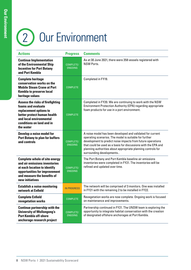# 2 Our Environment

| <b>Actions</b>                                                                                                                                                                              | <b>Progress</b>             | <b>Comments</b>                                                                                                                                                                                                                                                                                                                                   |
|---------------------------------------------------------------------------------------------------------------------------------------------------------------------------------------------|-----------------------------|---------------------------------------------------------------------------------------------------------------------------------------------------------------------------------------------------------------------------------------------------------------------------------------------------------------------------------------------------|
| <b>Continue Implementation</b><br>of the Environmental Ship<br><b>Incentive for Port Botany</b><br>and Port Kembla                                                                          | COMPLETE/<br>ONGOING        | As at 30 June 2021, there were 358 vessels registered with<br><b>NSW Ports.</b>                                                                                                                                                                                                                                                                   |
| <b>Complete heritage</b><br>conservation works on the<br><b>Mobile Steam Crane at Port</b><br><b>Kembla to preserve local</b><br>heritage values                                            | <b>COMPLETE</b>             | Completed in FY19.                                                                                                                                                                                                                                                                                                                                |
| <b>Assess the risks of firefighting</b><br>foams and evaluate<br>replacement options to<br>better protect human health<br>and local environmental<br>conditions on land and in<br>the water | <b>COMPLETE</b>             | Completed in FY20. We are continuing to work with the NSW<br>Environment Protection Authority (EPA) regarding appropriate<br>foam products for use in a port environment.                                                                                                                                                                         |
| Develop a noise model for<br><b>Port Botany to plan for buffers</b><br>and controls                                                                                                         | COMPLETE/<br>ONGOING        | A noise model has been developed and validated for current<br>operating scenarios. The model is suitable for further<br>development to predict noise impacts from future operations<br>that could be used as a basis for discussions with the EPA and<br>planning authorities about appropriate planning controls for<br>surrounding developments |
| <b>Complete whole of site energy</b><br>and air emissions inventories<br>at each location to identify<br>opportunities for improvement<br>and measure the benefits of<br>new initiatives    | COMPLETE/<br>ONGOING        | The Port Botany and Port Kembla baseline air emissions<br>inventories were completed in FY21. The inventories will be<br>refined and updated over time.                                                                                                                                                                                           |
| <b>Establish a noise monitoring</b><br>network at Enfield                                                                                                                                   | <b>IN PROGRESS</b>          | The network will be comprised of 3 monitors. One was installed<br>in FY21 with the remaining 2 to be installed in FY22.                                                                                                                                                                                                                           |
| <b>Complete Enfield</b><br>revegetation works                                                                                                                                               | <b>COMPLETE</b>             | Revegetation works are now complete. Ongoing work is focused<br>on maintenance and improvements.                                                                                                                                                                                                                                                  |
| <b>Continue partnership with the</b><br><b>University of Wollongong's</b><br><b>Port Kembla off-shore</b><br>anchorage research project                                                     | COMPLETE/<br><b>ONGOING</b> | Partnership continued in FY21. The UNSW team is exploring the<br>opportunity to integrate habitat conservation with the creation<br>of designated offshore anchorages at Port Kembla.                                                                                                                                                             |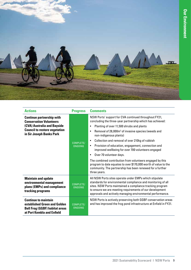

| <b>Actions</b>                                                                                                                                                        | <b>Progress</b>      | <b>Comments</b>                                                                                                                                                                                                                                                                                                                                                                                                                                                                                                                                                                                                                                                                                                        |
|-----------------------------------------------------------------------------------------------------------------------------------------------------------------------|----------------------|------------------------------------------------------------------------------------------------------------------------------------------------------------------------------------------------------------------------------------------------------------------------------------------------------------------------------------------------------------------------------------------------------------------------------------------------------------------------------------------------------------------------------------------------------------------------------------------------------------------------------------------------------------------------------------------------------------------------|
| <b>Continue partnership with</b><br><b>Conservation Volunteers</b><br>(CVA) Australia and Bayside<br><b>Council to restore vegetation</b><br>in Sir Joseph Banks Park | COMPLETE/<br>ONGOING | NSW Ports' support for CVA continued throughout FY21,<br>concluding the three-year partnership which has achieved:<br>Planting of over 11,500 shrubs and plants<br>Removal of 28,000m <sup>2</sup> of invasive species (weeds and<br>$\bullet$<br>non-indigenous plants)<br>Collection and removal of over 210kg of rubbish<br>$\bullet$<br>Provision of education, engagement, connection and<br>$\bullet$<br>improved wellbeing for over 700 volunteers engaged<br>Over 70 volunteer days.<br>$\bullet$<br>The combined contribution from volunteers engaged by this<br>program to date equates to over \$170,000 worth of value to the<br>community. The partnership has been renewed for a further<br>three years. |
| <b>Maintain and update</b><br>environmental management<br>plans (EMPs) and compliance<br>tracking programs                                                            | COMPLETE/<br>ONGOING | All NSW Ports sites operate under EMPs which stipulate<br>standards for environmental compliance and monitoring of all<br>sites. NSW Ports maintained a compliance tracking program<br>to ensure we are meeting requirements of our development<br>approvals and actively managing environmental performance.                                                                                                                                                                                                                                                                                                                                                                                                          |
| <b>Continue to maintain</b><br>established Green and Golden<br><b>Bell Frog (GGBF) habitat areas</b><br>at Port Kembla and Enfield                                    | COMPLETE/<br>ONGOING | NSW Ports is actively preserving both GGBF conservation areas<br>and has improved the frog pond infrastructure at Enfield in FY21.                                                                                                                                                                                                                                                                                                                                                                                                                                                                                                                                                                                     |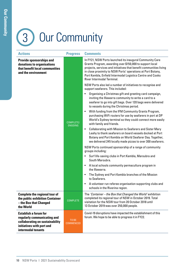# 3 Our Community

| <b>Actions</b>                                                                                                                                    | <b>Progress</b>      | <b>Comments</b>                                                                                                                                                                                                                                                                                                                                                                                                                                                                                                                                                                                                                                                                                                                                                          |
|---------------------------------------------------------------------------------------------------------------------------------------------------|----------------------|--------------------------------------------------------------------------------------------------------------------------------------------------------------------------------------------------------------------------------------------------------------------------------------------------------------------------------------------------------------------------------------------------------------------------------------------------------------------------------------------------------------------------------------------------------------------------------------------------------------------------------------------------------------------------------------------------------------------------------------------------------------------------|
| <b>Provide sponsorships and</b><br>donations to organisations<br>that benefit local communities<br>and the environment                            |                      | In FY21, NSW Ports launched its inaugural Community Care<br>Grants Program, awarding over \$150,000 to support local<br>projects, services and initiatives that benefit communities living<br>in close proximity to NSW Ports' operations at Port Botany,<br>Port Kembla, Enfield Intermodal Logistics Centre and Cooks<br>River Intermodal Terminal.<br>NSW Ports also led a number of initiatives to recognise and<br>support seafarers. This included:<br>Organising a Christmas gift and greeting card campaign,<br>$\bullet$<br>inviting the Illawarra community to write a card to a<br>seafarer to go into gift bags. Over 120 bags were delivered<br>to vessels during the Christmas period.<br>With funding from the IFM Community Grants Program,<br>$\bullet$ |
|                                                                                                                                                   | COMPLETE/<br>ONGOING | purchasing WiFi routers for use by seafarers in port at DP<br>World's Sydney terminal so they could connect more easily<br>with family and friends.<br><b>Collaborating with Mission to Seafarers and Sister Mary</b><br>$\bullet$<br>Leahy to thank seafarers on board vessels docked at Port<br>Botany and Port Kembla on World Seafarer Day. Together,<br>we delivered 245 locally made pizzas to over 300 seafarers.                                                                                                                                                                                                                                                                                                                                                 |
|                                                                                                                                                   |                      | NSW Ports continued sponsorship of a range of community<br>groups including:                                                                                                                                                                                                                                                                                                                                                                                                                                                                                                                                                                                                                                                                                             |
|                                                                                                                                                   |                      | Surf life-saving clubs in Port Kembla, Maroubra and<br>South Maroubra.                                                                                                                                                                                                                                                                                                                                                                                                                                                                                                                                                                                                                                                                                                   |
|                                                                                                                                                   |                      | A local schools community permaculture program in<br>$\bullet$<br>the Illawarra.                                                                                                                                                                                                                                                                                                                                                                                                                                                                                                                                                                                                                                                                                         |
|                                                                                                                                                   |                      | The Sydney and Port Kembla branches of the Mission<br>$\bullet$<br>to Seafarers.                                                                                                                                                                                                                                                                                                                                                                                                                                                                                                                                                                                                                                                                                         |
|                                                                                                                                                   |                      | A volunteer run referee organisation supporting clubs and<br>$\bullet$<br>schools in the Riverina region.                                                                                                                                                                                                                                                                                                                                                                                                                                                                                                                                                                                                                                                                |
| <b>Complete the regional tour of</b><br>the public exhibition Container<br>- the Box that Changed<br>the World                                    | <b>COMPLETE</b>      | The 'Container – the Box that Changed the World' exhibition<br>completed its regional tour of NSW in October 2019. Total<br>visitation for the NSW tour from 20 October 2018 until<br>13 October 2019 was over 250,000 people.                                                                                                                                                                                                                                                                                                                                                                                                                                                                                                                                           |
| <b>Establish a forum for</b><br>regularly communicating and<br>collaborating on sustainability<br>initiatives with port and<br>intermodal tenants | TO BE<br>COMMENCED   | Covid-19 disruptions have impacted the establishment of this<br>forum. We hope to be able to progress it in FY22.                                                                                                                                                                                                                                                                                                                                                                                                                                                                                                                                                                                                                                                        |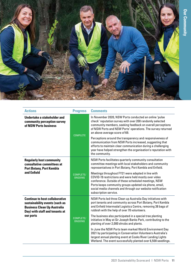

| <b>Actions</b>                                                                                                                                  | <b>Progress</b>             | <b>Comments</b>                                                                                                                                                                                                                                                                                                      |
|-------------------------------------------------------------------------------------------------------------------------------------------------|-----------------------------|----------------------------------------------------------------------------------------------------------------------------------------------------------------------------------------------------------------------------------------------------------------------------------------------------------------------|
| Undertake a stakeholder and<br>community perception survey<br>of NSW Ports business                                                             | <b>COMPLETE</b>             | In November 2020, NSW Ports conducted an online 'pulse<br>check' reputation survey with over 200 randomly selected<br>community members, seeking feedback on overall perceptions<br>of NSW Ports and NSW Ports' operations. The survey returned<br>an above average score of 69.                                     |
|                                                                                                                                                 |                             | Perceptions around the transparency and responsiveness of<br>communication from NSW Ports increased, suggesting that<br>efforts to maintain clear communication during a challenging<br>year have helped strengthen the organisation's reputation with<br>the community.                                             |
| <b>Regularly host community</b><br>consultative committees at<br><b>Port Botany, Port Kembla</b>                                                | COMPLETE/<br><b>ONGOING</b> | NSW Ports facilitates quarterly community consultation<br>committee meetings with local stakeholders and community<br>representatives in Port Botany, Port Kembla and Enfield.                                                                                                                                       |
| and Enfield                                                                                                                                     |                             | Meetings throughout FY21 were adapted in line with<br>COVID-19 restrictions and were held mostly over video<br>conference. Outside of these scheduled meetings, NSW<br>Ports keeps community groups updated via phone, email,<br>social media channels and through our website notification<br>subscription service. |
| <b>Continue to host collaborative</b><br>sustainability events (such as<br><b>Business Clean Up Australia</b><br>Day) with staff and tenants at | COMPLETE/<br><b>ONGOING</b> | NSW Ports led three Clean up Australia Day initiatives with<br>port tenants and community across Port Botany, Port Kembla<br>and Enfield Intermodal Logistics Centre, removing 38 bags of<br>rubbish with the help of over 70 volunteers.                                                                            |
| our ports                                                                                                                                       |                             | The business also participated in a special tree planting<br>initiative in May at Sir Joseph Banks Park, contributing to the<br>planting of over 2,000 shrubs and plants.                                                                                                                                            |
|                                                                                                                                                 |                             | In June the NSW Ports team marked World Environment Day<br>2021 by participating in Conservation Volunteers Australia's<br>largest annual planting event at Cooks River Landing Lights<br>Wetland. The event successfully planted over 6,500 seedlings.                                                              |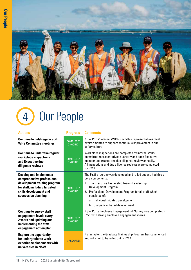

## 4 Our People

| <b>Actions</b>                                                                                                                                                                 | <b>Progress</b>             | <b>Comments</b>                                                                                                                                                                                                                                                                                                    |
|--------------------------------------------------------------------------------------------------------------------------------------------------------------------------------|-----------------------------|--------------------------------------------------------------------------------------------------------------------------------------------------------------------------------------------------------------------------------------------------------------------------------------------------------------------|
| <b>Continue to hold regular staff</b><br><b>WHS Committee meetings</b>                                                                                                         | COMPLETE/<br>ONGOING        | NSW Ports' internal WHS committee representatives meet<br>every 2 months to support continuous improvement in our<br>safety culture.                                                                                                                                                                               |
| <b>Continue to undertake regular</b><br>workplace inspections<br>and Executive due<br>diligence reviews                                                                        | COMPLETE/<br>ONGOING        | Workplace inspections are completed by internal WHS<br>committee representatives quarterly and each Executive<br>member undertakes one due diligence review annually.<br>All inspections and due diligence reviews were completed<br>for FY21.                                                                     |
| <b>Develop and implement a</b><br>comprehensive professional<br>development training program<br>for staff, including targeted<br>skills development and<br>succession planning | COMPLETE/<br>ONGOING        | The FY21 program was developed and rolled out and had three<br>core components:<br>The Executive Leadership Team's Leadership<br><b>Development Program</b><br>2. Professional Development Program for all staff which<br>consisted of:<br>a. Individual initiated development<br>b. Company initiated development |
| <b>Continue to survey staff</b><br>engagement levels every<br>2 years and updating and<br>implementing the staff<br>engagement action plan                                     | COMPLETE/<br><b>ONGOING</b> | NSW Ports Employee Engagement full Survey was completed in<br>FY21 with strong employee engagement scores.                                                                                                                                                                                                         |
| <b>Explore the opportunity</b><br>for undergraduate work<br>experience placements with<br>universities in NSW                                                                  | <b>IN PROGRESS</b>          | Planning for the Graduate Traineeship Program has commenced<br>and will start to be rolled out in FY22.                                                                                                                                                                                                            |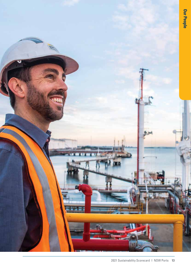